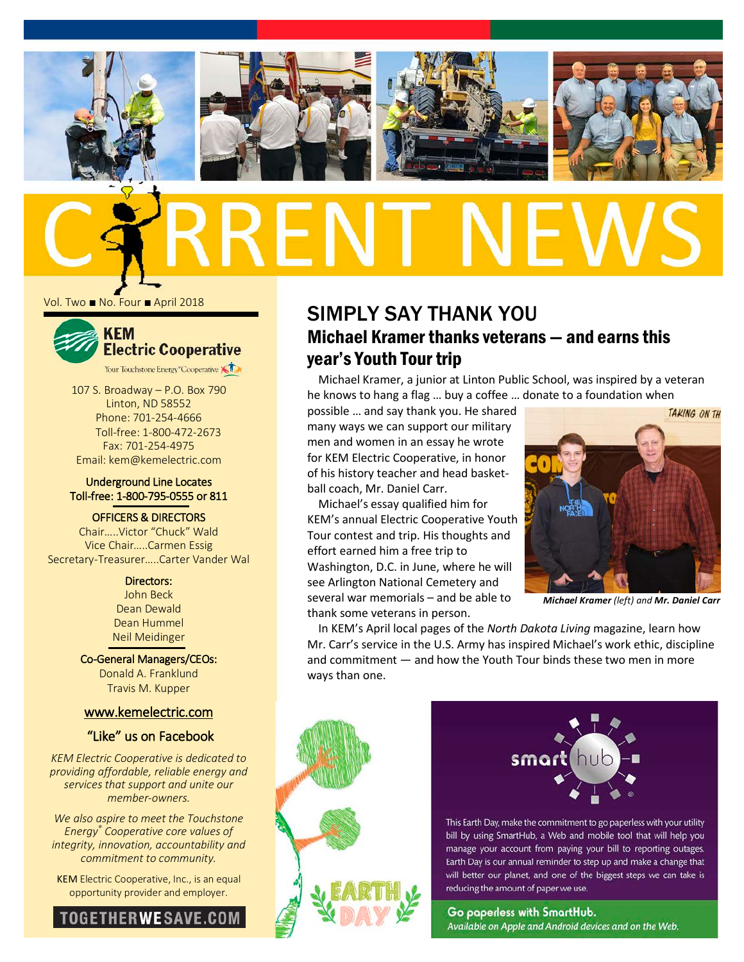

Vol. Two ■ No. Four ■ April 2018



107 S. Broadway – P.O. Box 790 Linton, ND 58552 Phone: 701-254-4666 Toll-free: 1-800-472-2673 Fax: 701-254-4975 Email: kem@kemelectric.com

#### Underground Line Locates Toll-free: 1-800-795-0555 or 811

OFFICERS & DIRECTORS

Chair…..Victor "Chuck" Wald Vice Chair…..Carmen Essig Secretary-Treasurer…..Carter Vander Wal

> Directors: John Beck Dean Dewald Dean Hummel Neil Meidinger

Co-General Managers/CEOs: Donald A. Franklund Travis M. Kupper

#### [www.kemelectric.com](http://www.kemelectric.com/)

### "Like" us on Facebook

*KEM Electric Cooperative is dedicated to providing affordable, reliable energy and services that support and unite our member-owners.*

*We also aspire to meet the Touchstone Energy® Cooperative core values of integrity, innovation, accountability and commitment to community.*

KEM Electric Cooperative, Inc., is an equal opportunity provider and employer.



## SIMPLY SAY THANK YOU Michael Kramer thanks veterans — and earns this year's Youth Tour trip

Michael Kramer, a junior at Linton Public School, was inspired by a veteran he knows to hang a flag … buy a coffee … donate to a foundation when

possible … and say thank you. He shared many ways we can support our military men and women in an essay he wrote for KEM Electric Cooperative, in honor of his history teacher and head basketball coach, Mr. Daniel Carr.

Michael's essay qualified him for KEM's annual Electric Cooperative Youth Tour contest and trip. His thoughts and effort earned him a free trip to Washington, D.C. in June, where he will see Arlington National Cemetery and several war memorials – and be able to thank some veterans in person.



*Michael Kramer (left) and Mr. Daniel Carr*

In KEM's April local pages of the *North Dakota Living* magazine, learn how Mr. Carr's service in the U.S. Army has inspired Michael's work ethic, discipline and commitment — and how the Youth Tour binds these two men in more ways than one.





This Earth Day, make the commitment to go paperless with your utility bill by using SmartHub, a Web and mobile tool that will help you manage your account from paying your bill to reporting outages. Earth Day is our annual reminder to step up and make a change that will better our planet, and one of the biggest steps we can take is reducing the amount of paper we use.

Go paperless with SmartHub. Available on Apple and Android devices and on the Web.